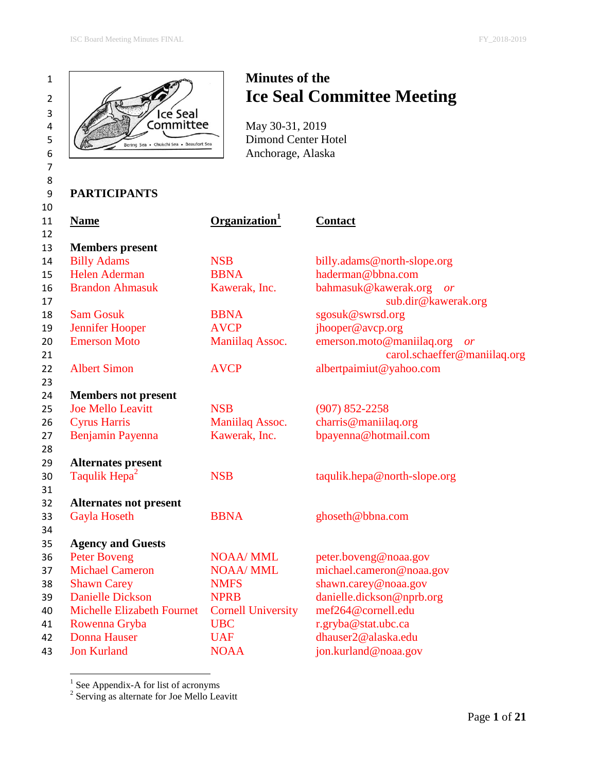



# <sup>2</sup> *Ice Seal Committee Meeting*

# **PARTICIPANTS**

| 11<br>12 | <b>Name</b>                   | Organization <sup>1</sup> | <b>Contact</b>                                                  |
|----------|-------------------------------|---------------------------|-----------------------------------------------------------------|
| 13       | <b>Members</b> present        |                           |                                                                 |
| 14       | <b>Billy Adams</b>            | <b>NSB</b>                | billy.adams@north-slope.org                                     |
| 15       | <b>Helen Aderman</b>          | <b>BBNA</b>               | haderman@bbna.com                                               |
| 16<br>17 | <b>Brandon Ahmasuk</b>        | Kawerak, Inc.             | bahmasuk@kawerak.org or<br>sub.dir@kawerak.org                  |
| 18       | <b>Sam Gosuk</b>              | <b>BBNA</b>               | sgosuk@swrsd.org                                                |
| 19       | Jennifer Hooper               | <b>AVCP</b>               | jhooper@avcp.org                                                |
| 20<br>21 | <b>Emerson Moto</b>           | Maniilaq Assoc.           | emerson.moto@maniilaq.org<br>or<br>carol.schaeffer@maniilaq.org |
| 22<br>23 | <b>Albert Simon</b>           | <b>AVCP</b>               | albertpaimiut@yahoo.com                                         |
| 24       | <b>Members not present</b>    |                           |                                                                 |
| 25       | <b>Joe Mello Leavitt</b>      | <b>NSB</b>                | $(907) 852 - 2258$                                              |
| 26       | <b>Cyrus Harris</b>           | Maniilaq Assoc.           | charris@maniilaq.org                                            |
| 27<br>28 | Benjamin Payenna              | Kawerak, Inc.             | bpayenna@hotmail.com                                            |
| 29       | <b>Alternates present</b>     |                           |                                                                 |
| 30<br>31 | Taqulik Hepa <sup>2</sup>     | <b>NSB</b>                | taqulik.hepa@north-slope.org                                    |
| 32       | <b>Alternates not present</b> |                           |                                                                 |
| 33<br>34 | <b>Gayla Hoseth</b>           | <b>BBNA</b>               | ghoseth@bbna.com                                                |
| 35       | <b>Agency and Guests</b>      |                           |                                                                 |
| 36       | <b>Peter Boveng</b>           | <b>NOAA/ MML</b>          | peter.boveng@noaa.gov                                           |
| 37       | <b>Michael Cameron</b>        | <b>NOAA/ MML</b>          | michael.cameron@noaa.gov                                        |
| 38       | <b>Shawn Carey</b>            | <b>NMFS</b>               | shawn.carey@noaa.gov                                            |
| 39       | <b>Danielle Dickson</b>       | <b>NPRB</b>               | danielle.dickson@nprb.org                                       |
| 40       | Michelle Elizabeth Fournet    | <b>Cornell University</b> | mef264@cornell.edu                                              |
| 41       | Rowenna Gryba                 | <b>UBC</b>                | r.gryba@stat.ubc.ca                                             |
| 42       | <b>Donna Hauser</b>           | <b>UAF</b>                | dhauser2@alaska.edu                                             |
| 43       | <b>Jon Kurland</b>            | <b>NOAA</b>               | jon.kurland@noaa.gov                                            |

<sup>1</sup> See Appendix-A for list of acronyms<br><sup>2</sup> Serving as alternate for Joe Mello Leavitt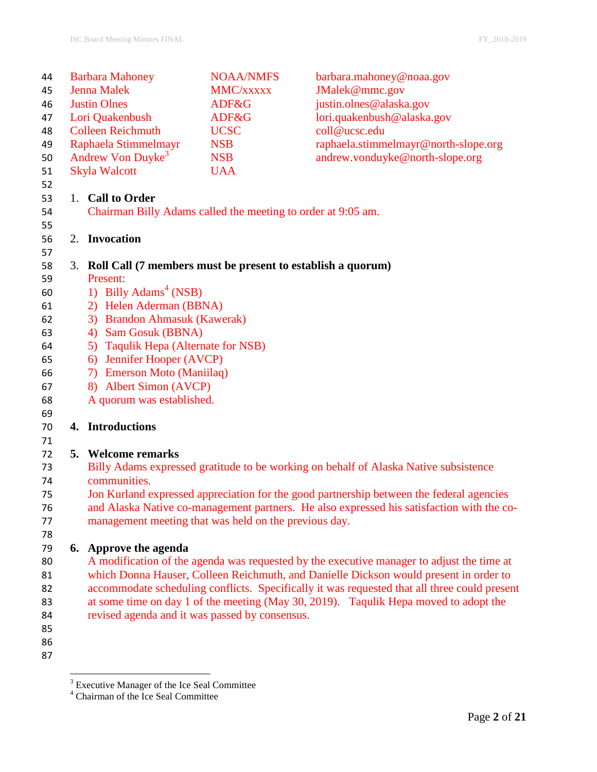| 44 |                     | <b>Barbara Mahoney</b>                                         | <b>NOAA/NMFS</b> | barbara.mahoney@noaa.gov                                                                     |
|----|---------------------|----------------------------------------------------------------|------------------|----------------------------------------------------------------------------------------------|
| 45 | <b>Jenna Malek</b>  |                                                                | MMC/xxxxx        | JMalek@mmc.gov                                                                               |
| 46 | <b>Justin Olnes</b> |                                                                | ADF&G            | justin.olnes@alaska.gov                                                                      |
| 47 |                     | Lori Quakenbush                                                | ADF&G            | lori.quakenbush@alaska.gov                                                                   |
| 48 |                     | <b>Colleen Reichmuth</b>                                       | <b>UCSC</b>      | coll@ucsc.edu                                                                                |
| 49 |                     | Raphaela Stimmelmayr                                           | <b>NSB</b>       | raphaela.stimmelmayr@north-slope.org                                                         |
| 50 |                     | Andrew Von Duyke <sup>3</sup>                                  | <b>NSB</b>       | andrew.vonduyke@north-slope.org                                                              |
| 51 |                     | <b>Skyla Walcott</b>                                           | <b>UAA</b>       |                                                                                              |
| 52 |                     |                                                                |                  |                                                                                              |
| 53 |                     | 1. Call to Order                                               |                  |                                                                                              |
| 54 |                     | Chairman Billy Adams called the meeting to order at 9:05 am.   |                  |                                                                                              |
| 55 |                     |                                                                |                  |                                                                                              |
| 56 |                     | 2. Invocation                                                  |                  |                                                                                              |
| 57 |                     |                                                                |                  |                                                                                              |
| 58 |                     | 3. Roll Call (7 members must be present to establish a quorum) |                  |                                                                                              |
| 59 |                     | Present:                                                       |                  |                                                                                              |
| 60 |                     | 1) Billy Adams <sup>4</sup> (NSB)                              |                  |                                                                                              |
| 61 |                     | 2) Helen Aderman (BBNA)                                        |                  |                                                                                              |
| 62 |                     | 3) Brandon Ahmasuk (Kawerak)                                   |                  |                                                                                              |
| 63 |                     | 4) Sam Gosuk (BBNA)                                            |                  |                                                                                              |
| 64 |                     | 5) Taqulik Hepa (Alternate for NSB)                            |                  |                                                                                              |
| 65 |                     | 6) Jennifer Hooper (AVCP)                                      |                  |                                                                                              |
| 66 |                     | <b>Emerson Moto (Maniilaq)</b><br>7)                           |                  |                                                                                              |
| 67 |                     | 8) Albert Simon (AVCP)                                         |                  |                                                                                              |
| 68 |                     | A quorum was established.                                      |                  |                                                                                              |
| 69 |                     |                                                                |                  |                                                                                              |
| 70 |                     | 4. Introductions                                               |                  |                                                                                              |
| 71 |                     |                                                                |                  |                                                                                              |
| 72 |                     | 5. Welcome remarks                                             |                  |                                                                                              |
| 73 |                     |                                                                |                  | Billy Adams expressed gratitude to be working on behalf of Alaska Native subsistence         |
| 74 |                     | communities.                                                   |                  |                                                                                              |
| 75 |                     |                                                                |                  | Jon Kurland expressed appreciation for the good partnership between the federal agencies     |
| 76 |                     |                                                                |                  | and Alaska Native co-management partners. He also expressed his satisfaction with the co-    |
| 77 |                     | management meeting that was held on the previous day.          |                  |                                                                                              |
| 78 |                     |                                                                |                  |                                                                                              |
| 79 |                     | 6. Approve the agenda                                          |                  |                                                                                              |
| 80 |                     |                                                                |                  | A modification of the agenda was requested by the executive manager to adjust the time at    |
| 81 |                     |                                                                |                  | which Donna Hauser, Colleen Reichmuth, and Danielle Dickson would present in order to        |
| 82 |                     |                                                                |                  | accommodate scheduling conflicts. Specifically it was requested that all three could present |
| 83 |                     |                                                                |                  | at some time on day 1 of the meeting (May 30, 2019). Taqulik Hepa moved to adopt the         |
| 84 |                     | revised agenda and it was passed by consensus.                 |                  |                                                                                              |
| 85 |                     |                                                                |                  |                                                                                              |
| 86 |                     |                                                                |                  |                                                                                              |
| 87 |                     |                                                                |                  |                                                                                              |

Executive Manager of the Ice Seal Committee

Chairman of the Ice Seal Committee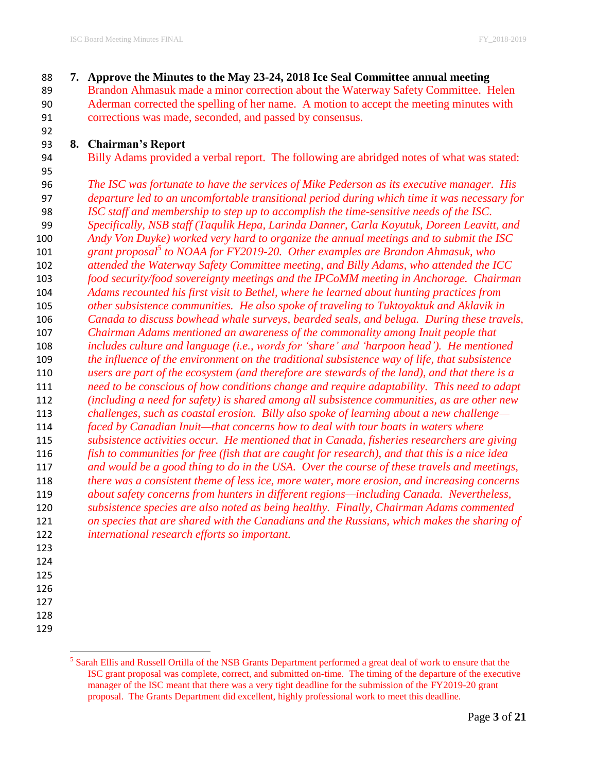**7. Approve the Minutes to the May 23-24, 2018 Ice Seal Committee annual meeting** Brandon Ahmasuk made a minor correction about the Waterway Safety Committee. Helen Aderman corrected the spelling of her name. A motion to accept the meeting minutes with corrections was made, seconded, and passed by consensus.

#### **8. Chairman's Report**

Billy Adams provided a verbal report. The following are abridged notes of what was stated:

 *The ISC was fortunate to have the services of Mike Pederson as its executive manager. His departure led to an uncomfortable transitional period during which time it was necessary for ISC staff and membership to step up to accomplish the time-sensitive needs of the ISC. Specifically, NSB staff (Taqulik Hepa, Larinda Danner, Carla Koyutuk, Doreen Leavitt, and Andy Von Duyke) worked very hard to organize the annual meetings and to submit the ISC grant proposal<sup>5</sup> to NOAA for FY2019-20.* Other examples are Brandon Ahmasuk, who *attended the Waterway Safety Committee meeting, and Billy Adams, who attended the ICC food security/food sovereignty meetings and the IPCoMM meeting in Anchorage. Chairman Adams recounted his first visit to Bethel, where he learned about hunting practices from other subsistence communities. He also spoke of traveling to Tuktoyaktuk and Aklavik in Canada to discuss bowhead whale surveys, bearded seals, and beluga. During these travels, Chairman Adams mentioned an awareness of the commonality among Inuit people that includes culture and language (i.e., words for 'share' and 'harpoon head'). He mentioned the influence of the environment on the traditional subsistence way of life, that subsistence users are part of the ecosystem (and therefore are stewards of the land), and that there is a need to be conscious of how conditions change and require adaptability. This need to adapt (including a need for safety) is shared among all subsistence communities, as are other new challenges, such as coastal erosion. Billy also spoke of learning about a new challenge— faced by Canadian Inuit—that concerns how to deal with tour boats in waters where subsistence activities occur. He mentioned that in Canada, fisheries researchers are giving fish to communities for free (fish that are caught for research), and that this is a nice idea and would be a good thing to do in the USA. Over the course of these travels and meetings, there was a consistent theme of less ice, more water, more erosion, and increasing concerns about safety concerns from hunters in different regions—including Canada. Nevertheless, subsistence species are also noted as being healthy. Finally, Chairman Adams commented on species that are shared with the Canadians and the Russians, which makes the sharing of international research efforts so important.* 

- 
- 
- 
- 
- 

<sup>&</sup>lt;sup>5</sup> Sarah Ellis and Russell Ortilla of the NSB Grants Department performed a great deal of work to ensure that the ISC grant proposal was complete, correct, and submitted on-time. The timing of the departure of the executive manager of the ISC meant that there was a very tight deadline for the submission of the FY2019-20 grant proposal. The Grants Department did excellent, highly professional work to meet this deadline.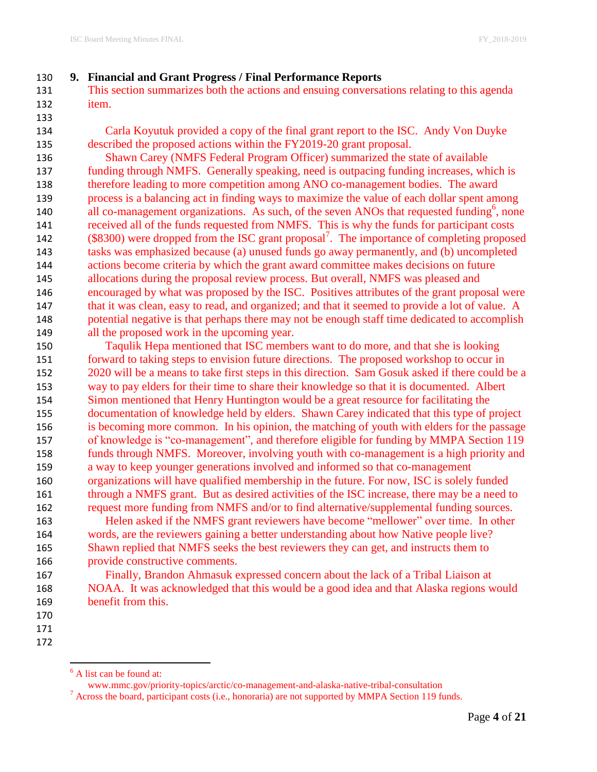## **9. Financial and Grant Progress / Final Performance Reports**

 This section summarizes both the actions and ensuing conversations relating to this agenda item.

 Carla Koyutuk provided a copy of the final grant report to the ISC. Andy Von Duyke described the proposed actions within the FY2019-20 grant proposal.

 Shawn Carey (NMFS Federal Program Officer) summarized the state of available funding through NMFS. Generally speaking, need is outpacing funding increases, which is therefore leading to more competition among ANO co-management bodies. The award process is a balancing act in finding ways to maximize the value of each dollar spent among 140 all co-management organizations. As such, of the seven ANOs that requested funding<sup>6</sup>, none received all of the funds requested from NMFS. This is why the funds for participant costs 142 (\$8300) were dropped from the ISC grant proposal<sup>7</sup>. The importance of completing proposed tasks was emphasized because (a) unused funds go away permanently, and (b) uncompleted actions become criteria by which the grant award committee makes decisions on future allocations during the proposal review process. But overall, NMFS was pleased and encouraged by what was proposed by the ISC. Positives attributes of the grant proposal were 147 that it was clean, easy to read, and organized; and that it seemed to provide a lot of value. A potential negative is that perhaps there may not be enough staff time dedicated to accomplish all the proposed work in the upcoming year.

 Taqulik Hepa mentioned that ISC members want to do more, and that she is looking forward to taking steps to envision future directions. The proposed workshop to occur in 2020 will be a means to take first steps in this direction. Sam Gosuk asked if there could be a way to pay elders for their time to share their knowledge so that it is documented. Albert Simon mentioned that Henry Huntington would be a great resource for facilitating the documentation of knowledge held by elders. Shawn Carey indicated that this type of project is becoming more common. In his opinion, the matching of youth with elders for the passage of knowledge is "co-management", and therefore eligible for funding by MMPA Section 119 funds through NMFS. Moreover, involving youth with co-management is a high priority and a way to keep younger generations involved and informed so that co-management organizations will have qualified membership in the future. For now, ISC is solely funded through a NMFS grant. But as desired activities of the ISC increase, there may be a need to request more funding from NMFS and/or to find alternative/supplemental funding sources. Helen asked if the NMFS grant reviewers have become "mellower" over time. In other

 words, are the reviewers gaining a better understanding about how Native people live? Shawn replied that NMFS seeks the best reviewers they can get, and instructs them to provide constructive comments.

 Finally, Brandon Ahmasuk expressed concern about the lack of a Tribal Liaison at NOAA. It was acknowledged that this would be a good idea and that Alaska regions would benefit from this.

- 
- 
- 

A list can be found at:

www.mmc.gov/priority-topics/arctic/co-management-and-alaska-native-tribal-consultation

 $<sup>7</sup>$  Across the board, participant costs (i.e., honoraria) are not supported by MMPA Section 119 funds.</sup>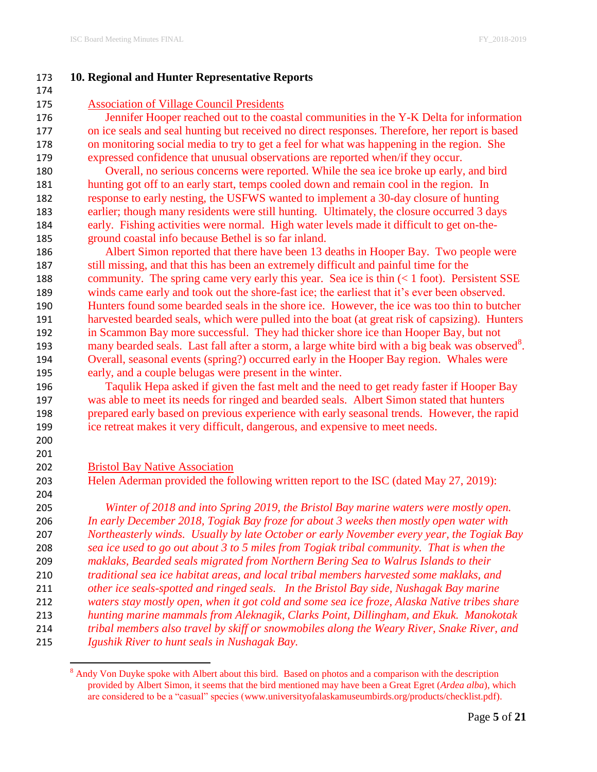## **10. Regional and Hunter Representative Reports**

Association of Village Council Presidents

 Jennifer Hooper reached out to the coastal communities in the Y-K Delta for information on ice seals and seal hunting but received no direct responses. Therefore, her report is based on monitoring social media to try to get a feel for what was happening in the region. She expressed confidence that unusual observations are reported when/if they occur.

 Overall, no serious concerns were reported. While the sea ice broke up early, and bird hunting got off to an early start, temps cooled down and remain cool in the region. In response to early nesting, the USFWS wanted to implement a 30-day closure of hunting earlier; though many residents were still hunting. Ultimately, the closure occurred 3 days early. Fishing activities were normal. High water levels made it difficult to get on-the-ground coastal info because Bethel is so far inland.

 Albert Simon reported that there have been 13 deaths in Hooper Bay. Two people were still missing, and that this has been an extremely difficult and painful time for the community. The spring came very early this year. Sea ice is thin (< 1 foot). Persistent SSE winds came early and took out the shore-fast ice; the earliest that it's ever been observed. Hunters found some bearded seals in the shore ice. However, the ice was too thin to butcher harvested bearded seals, which were pulled into the boat (at great risk of capsizing). Hunters in Scammon Bay more successful. They had thicker shore ice than Hooper Bay, but not 193 many bearded seals. Last fall after a storm, a large white bird with a big beak was observed<sup>8</sup>. Overall, seasonal events (spring?) occurred early in the Hooper Bay region. Whales were early, and a couple belugas were present in the winter.

 Taqulik Hepa asked if given the fast melt and the need to get ready faster if Hooper Bay was able to meet its needs for ringed and bearded seals. Albert Simon stated that hunters prepared early based on previous experience with early seasonal trends. However, the rapid ice retreat makes it very difficult, dangerous, and expensive to meet needs.

 

#### Bristol Bay Native Association

Helen Aderman provided the following written report to the ISC (dated May 27, 2019):

 *Winter of 2018 and into Spring 2019, the Bristol Bay marine waters were mostly open. In early December 2018, Togiak Bay froze for about 3 weeks then mostly open water with Northeasterly winds. Usually by late October or early November every year, the Togiak Bay sea ice used to go out about 3 to 5 miles from Togiak tribal community. That is when the maklaks, Bearded seals migrated from Northern Bering Sea to Walrus Islands to their traditional sea ice habitat areas, and local tribal members harvested some maklaks, and other ice seals-spotted and ringed seals. In the Bristol Bay side, Nushagak Bay marine waters stay mostly open, when it got cold and some sea ice froze, Alaska Native tribes share hunting marine mammals from Aleknagik, Clarks Point, Dillingham, and Ekuk. Manokotak tribal members also travel by skiff or snowmobiles along the Weary River, Snake River, and Igushik River to hunt seals in Nushagak Bay.*

 $\overline{\phantom{a}}$ <sup>8</sup> Andy Von Duyke spoke with Albert about this bird. Based on photos and a comparison with the description provided by Albert Simon, it seems that the bird mentioned may have been a Great Egret (*Ardea alba*), which are considered to be a "casual" species (www.universityofalaskamuseumbirds.org/products/checklist.pdf).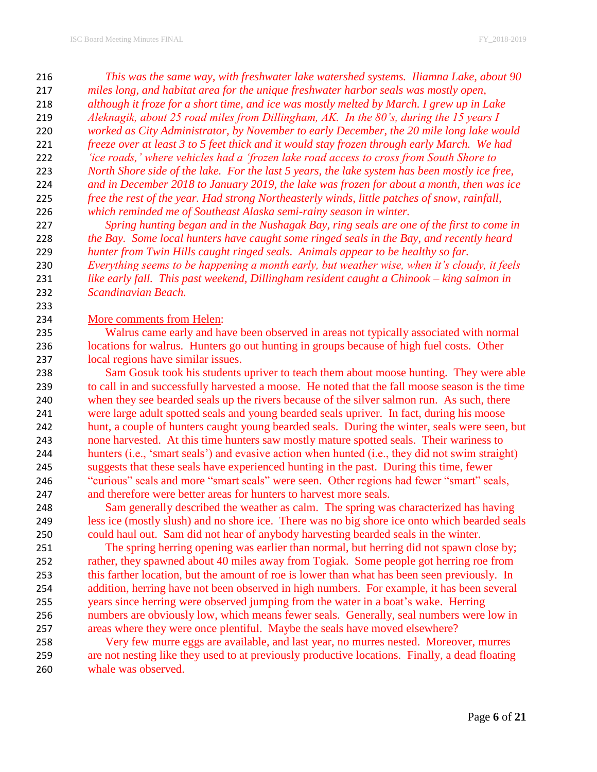*This was the same way, with freshwater lake watershed systems. Iliamna Lake, about 90 miles long, and habitat area for the unique freshwater harbor seals was mostly open, although it froze for a short time, and ice was mostly melted by March. I grew up in Lake Aleknagik, about 25 road miles from Dillingham, AK. In the 80's, during the 15 years I worked as City Administrator, by November to early December, the 20 mile long lake would freeze over at least 3 to 5 feet thick and it would stay frozen through early March. We had 'ice roads,' where vehicles had a 'frozen lake road access to cross from South Shore to North Shore side of the lake. For the last 5 years, the lake system has been mostly ice free, and in December 2018 to January 2019, the lake was frozen for about a month, then was ice free the rest of the year. Had strong Northeasterly winds, little patches of snow, rainfall, which reminded me of Southeast Alaska semi-rainy season in winter.*

 *Spring hunting began and in the Nushagak Bay, ring seals are one of the first to come in the Bay. Some local hunters have caught some ringed seals in the Bay, and recently heard hunter from Twin Hills caught ringed seals. Animals appear to be healthy so far. Everything seems to be happening a month early, but weather wise, when it's cloudy, it feels like early fall. This past weekend, Dillingham resident caught a Chinook – king salmon in Scandinavian Beach.*

## More comments from Helen:

 Walrus came early and have been observed in areas not typically associated with normal locations for walrus. Hunters go out hunting in groups because of high fuel costs. Other local regions have similar issues.

 Sam Gosuk took his students upriver to teach them about moose hunting. They were able to call in and successfully harvested a moose. He noted that the fall moose season is the time when they see bearded seals up the rivers because of the silver salmon run. As such, there were large adult spotted seals and young bearded seals upriver. In fact, during his moose hunt, a couple of hunters caught young bearded seals. During the winter, seals were seen, but none harvested. At this time hunters saw mostly mature spotted seals. Their wariness to hunters (i.e., 'smart seals') and evasive action when hunted (i.e., they did not swim straight) suggests that these seals have experienced hunting in the past. During this time, fewer "curious" seals and more "smart seals" were seen. Other regions had fewer "smart" seals, and therefore were better areas for hunters to harvest more seals.

 Sam generally described the weather as calm. The spring was characterized has having less ice (mostly slush) and no shore ice. There was no big shore ice onto which bearded seals could haul out. Sam did not hear of anybody harvesting bearded seals in the winter.

 The spring herring opening was earlier than normal, but herring did not spawn close by; rather, they spawned about 40 miles away from Togiak. Some people got herring roe from this farther location, but the amount of roe is lower than what has been seen previously. In addition, herring have not been observed in high numbers. For example, it has been several years since herring were observed jumping from the water in a boat's wake. Herring numbers are obviously low, which means fewer seals. Generally, seal numbers were low in areas where they were once plentiful. Maybe the seals have moved elsewhere?

 Very few murre eggs are available, and last year, no murres nested. Moreover, murres are not nesting like they used to at previously productive locations. Finally, a dead floating whale was observed.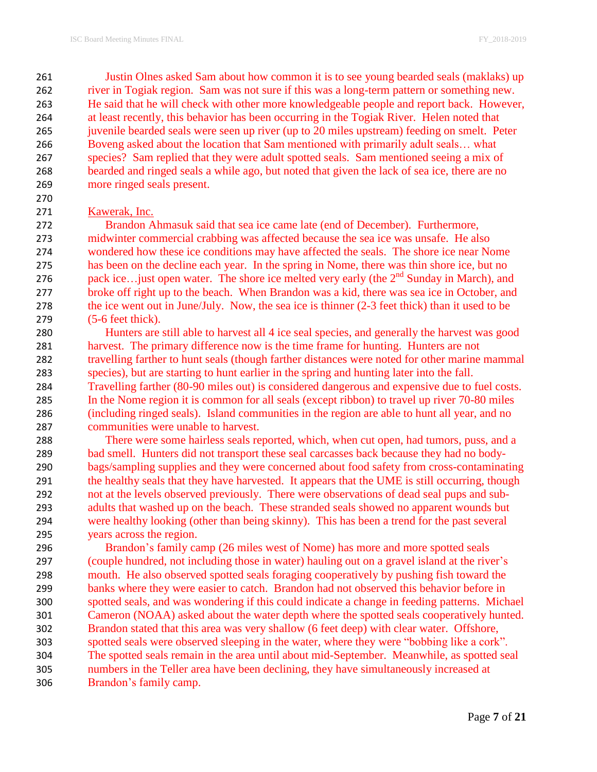Justin Olnes asked Sam about how common it is to see young bearded seals (maklaks) up river in Togiak region. Sam was not sure if this was a long-term pattern or something new. He said that he will check with other more knowledgeable people and report back. However, at least recently, this behavior has been occurring in the Togiak River. Helen noted that juvenile bearded seals were seen up river (up to 20 miles upstream) feeding on smelt. Peter Boveng asked about the location that Sam mentioned with primarily adult seals… what species? Sam replied that they were adult spotted seals. Sam mentioned seeing a mix of bearded and ringed seals a while ago, but noted that given the lack of sea ice, there are no more ringed seals present.

#### Kawerak, Inc.

 Brandon Ahmasuk said that sea ice came late (end of December). Furthermore, midwinter commercial crabbing was affected because the sea ice was unsafe. He also wondered how these ice conditions may have affected the seals. The shore ice near Nome has been on the decline each year. In the spring in Nome, there was thin shore ice, but no 276 pack ice... just open water. The shore ice melted very early (the  $2<sup>nd</sup>$  Sunday in March), and broke off right up to the beach. When Brandon was a kid, there was sea ice in October, and the ice went out in June/July. Now, the sea ice is thinner (2-3 feet thick) than it used to be (5-6 feet thick).

 Hunters are still able to harvest all 4 ice seal species, and generally the harvest was good harvest. The primary difference now is the time frame for hunting. Hunters are not travelling farther to hunt seals (though farther distances were noted for other marine mammal species), but are starting to hunt earlier in the spring and hunting later into the fall. Travelling farther (80-90 miles out) is considered dangerous and expensive due to fuel costs. In the Nome region it is common for all seals (except ribbon) to travel up river 70-80 miles (including ringed seals). Island communities in the region are able to hunt all year, and no communities were unable to harvest.

 There were some hairless seals reported, which, when cut open, had tumors, puss, and a bad smell. Hunters did not transport these seal carcasses back because they had no body- bags/sampling supplies and they were concerned about food safety from cross-contaminating 291 the healthy seals that they have harvested. It appears that the UME is still occurring, though not at the levels observed previously. There were observations of dead seal pups and sub- adults that washed up on the beach. These stranded seals showed no apparent wounds but were healthy looking (other than being skinny). This has been a trend for the past several years across the region.

 Brandon's family camp (26 miles west of Nome) has more and more spotted seals (couple hundred, not including those in water) hauling out on a gravel island at the river's mouth. He also observed spotted seals foraging cooperatively by pushing fish toward the banks where they were easier to catch. Brandon had not observed this behavior before in spotted seals, and was wondering if this could indicate a change in feeding patterns. Michael Cameron (NOAA) asked about the water depth where the spotted seals cooperatively hunted. Brandon stated that this area was very shallow (6 feet deep) with clear water. Offshore, spotted seals were observed sleeping in the water, where they were "bobbing like a cork". The spotted seals remain in the area until about mid-September. Meanwhile, as spotted seal numbers in the Teller area have been declining, they have simultaneously increased at Brandon's family camp.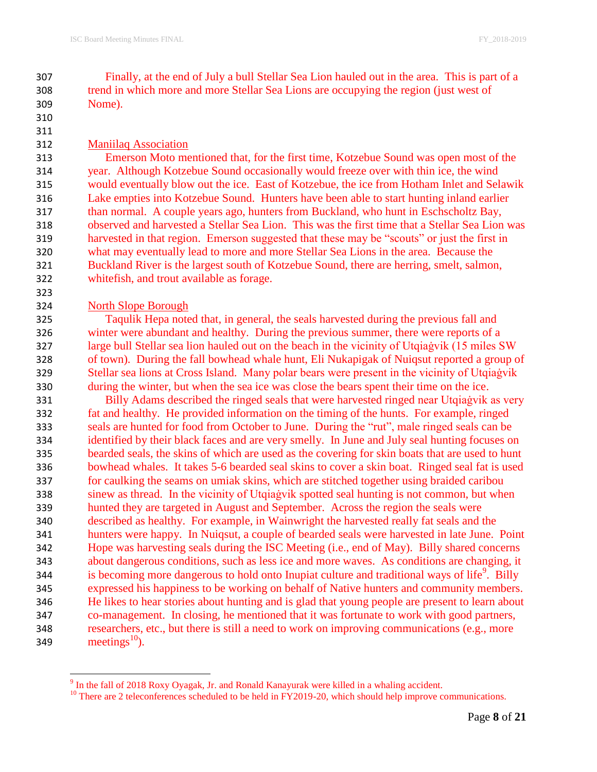Finally, at the end of July a bull Stellar Sea Lion hauled out in the area. This is part of a trend in which more and more Stellar Sea Lions are occupying the region (just west of Nome).

#### Maniilaq Association

 Emerson Moto mentioned that, for the first time, Kotzebue Sound was open most of the year. Although Kotzebue Sound occasionally would freeze over with thin ice, the wind would eventually blow out the ice. East of Kotzebue, the ice from Hotham Inlet and Selawik Lake empties into Kotzebue Sound. Hunters have been able to start hunting inland earlier than normal. A couple years ago, hunters from Buckland, who hunt in Eschscholtz Bay, observed and harvested a Stellar Sea Lion. This was the first time that a Stellar Sea Lion was harvested in that region. Emerson suggested that these may be "scouts" or just the first in what may eventually lead to more and more Stellar Sea Lions in the area. Because the Buckland River is the largest south of Kotzebue Sound, there are herring, smelt, salmon, whitefish, and trout available as forage.

# North Slope Borough

 Taqulik Hepa noted that, in general, the seals harvested during the previous fall and winter were abundant and healthy. During the previous summer, there were reports of a large bull Stellar sea lion hauled out on the beach in the vicinity of Utqiaġvik (15 miles SW of town). During the fall bowhead whale hunt, Eli Nukapigak of Nuiqsut reported a group of Stellar sea lions at Cross Island. Many polar bears were present in the vicinity of Utqiaġvik during the winter, but when the sea ice was close the bears spent their time on the ice.

 Billy Adams described the ringed seals that were harvested ringed near Utqiaġvik as very fat and healthy. He provided information on the timing of the hunts. For example, ringed seals are hunted for food from October to June. During the "rut", male ringed seals can be identified by their black faces and are very smelly. In June and July seal hunting focuses on bearded seals, the skins of which are used as the covering for skin boats that are used to hunt bowhead whales. It takes 5-6 bearded seal skins to cover a skin boat. Ringed seal fat is used for caulking the seams on umiak skins, which are stitched together using braided caribou sinew as thread. In the vicinity of Utqiaġvik spotted seal hunting is not common, but when hunted they are targeted in August and September. Across the region the seals were described as healthy. For example, in Wainwright the harvested really fat seals and the hunters were happy. In Nuiqsut, a couple of bearded seals were harvested in late June. Point Hope was harvesting seals during the ISC Meeting (i.e., end of May). Billy shared concerns about dangerous conditions, such as less ice and more waves. As conditions are changing, it 344 is becoming more dangerous to hold onto Inupiat culture and traditional ways of life<sup>9</sup>. Billy expressed his happiness to be working on behalf of Native hunters and community members. He likes to hear stories about hunting and is glad that young people are present to learn about co-management. In closing, he mentioned that it was fortunate to work with good partners, researchers, etc., but there is still a need to work on improving communications (e.g., more 349 meetings<sup>10</sup>).

<sup>&</sup>lt;sup>9</sup> In the fall of 2018 Roxy Oyagak, Jr. and Ronald Kanayurak were killed in a whaling accident.

<sup>&</sup>lt;sup>10</sup> There are 2 teleconferences scheduled to be held in FY2019-20, which should help improve communications.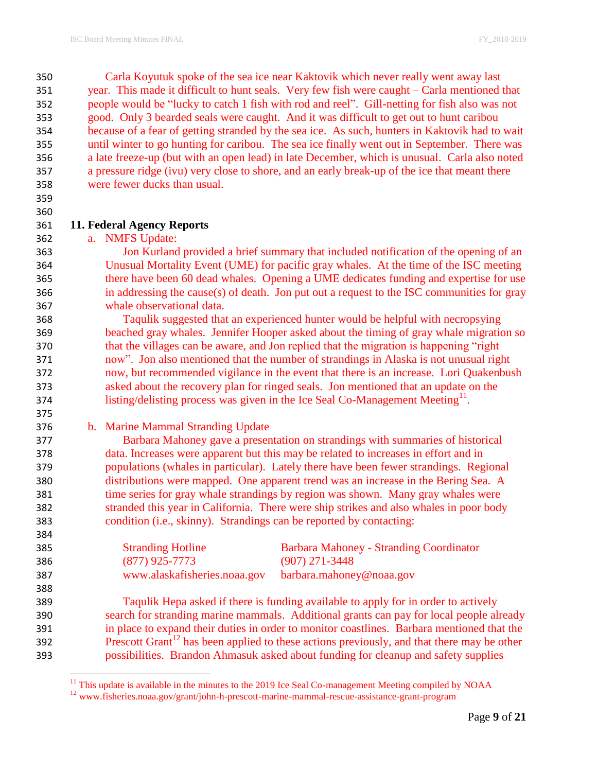Carla Koyutuk spoke of the sea ice near Kaktovik which never really went away last year. This made it difficult to hunt seals. Very few fish were caught – Carla mentioned that people would be "lucky to catch 1 fish with rod and reel". Gill-netting for fish also was not good. Only 3 bearded seals were caught. And it was difficult to get out to hunt caribou because of a fear of getting stranded by the sea ice. As such, hunters in Kaktovik had to wait until winter to go hunting for caribou. The sea ice finally went out in September. There was a late freeze-up (but with an open lead) in late December, which is unusual. Carla also noted a pressure ridge (ivu) very close to shore, and an early break-up of the ice that meant there were fewer ducks than usual.

 

## **11. Federal Agency Reports**

a. NMFS Update:

 Jon Kurland provided a brief summary that included notification of the opening of an Unusual Mortality Event (UME) for pacific gray whales. At the time of the ISC meeting there have been 60 dead whales. Opening a UME dedicates funding and expertise for use in addressing the cause(s) of death. Jon put out a request to the ISC communities for gray whale observational data.

 Taqulik suggested that an experienced hunter would be helpful with necropsying beached gray whales. Jennifer Hooper asked about the timing of gray whale migration so that the villages can be aware, and Jon replied that the migration is happening "right now". Jon also mentioned that the number of strandings in Alaska is not unusual right now, but recommended vigilance in the event that there is an increase. Lori Quakenbush asked about the recovery plan for ringed seals. Jon mentioned that an update on the 374 listing/delisting process was given in the Ice Seal Co-Management Meeting<sup>11</sup>.

 $\overline{\phantom{a}}$ 

b. Marine Mammal Stranding Update

 Barbara Mahoney gave a presentation on strandings with summaries of historical data. Increases were apparent but this may be related to increases in effort and in populations (whales in particular). Lately there have been fewer strandings. Regional distributions were mapped. One apparent trend was an increase in the Bering Sea. A time series for gray whale strandings by region was shown. Many gray whales were stranded this year in California. There were ship strikes and also whales in poor body condition (i.e., skinny). Strandings can be reported by contacting:

| 385 | <b>Stranding Hotline</b>     | Barbara Mahoney - Stranding Coordinator |
|-----|------------------------------|-----------------------------------------|
| 386 | $(877)$ 925-7773             | $(907)$ 271-3448                        |
| 387 | www.alaskafisheries.noaa.gov | barbara.mahoney@noaa.gov                |
| 388 |                              |                                         |

 Taqulik Hepa asked if there is funding available to apply for in order to actively search for stranding marine mammals. Additional grants can pay for local people already in place to expand their duties in order to monitor coastlines. Barbara mentioned that the Prescott Grant<sup>12</sup> has been applied to these actions previously, and that there may be other possibilities. Brandon Ahmasuk asked about funding for cleanup and safety supplies

This update is available in the minutes to the 2019 Ice Seal Co-management Meeting compiled by NOAA

<sup>&</sup>lt;sup>12</sup> www.fisheries.noaa.gov/grant/john-h-prescott-marine-mammal-rescue-assistance-grant-program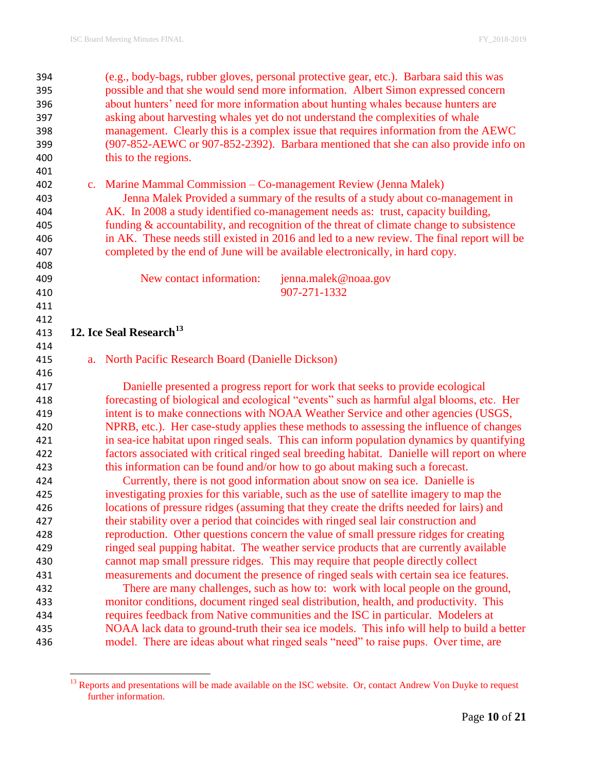| 394        | (e.g., body-bags, rubber gloves, personal protective gear, etc.). Barbara said this was                                                                                           |
|------------|-----------------------------------------------------------------------------------------------------------------------------------------------------------------------------------|
| 395        | possible and that she would send more information. Albert Simon expressed concern                                                                                                 |
| 396        | about hunters' need for more information about hunting whales because hunters are                                                                                                 |
| 397        | asking about harvesting whales yet do not understand the complexities of whale                                                                                                    |
| 398        | management. Clearly this is a complex issue that requires information from the AEWC                                                                                               |
| 399        | (907-852-AEWC or 907-852-2392). Barbara mentioned that she can also provide info on                                                                                               |
| 400        | this to the regions.                                                                                                                                                              |
| 401        |                                                                                                                                                                                   |
| 402        | c. Marine Mammal Commission – Co-management Review (Jenna Malek)                                                                                                                  |
| 403        | Jenna Malek Provided a summary of the results of a study about co-management in                                                                                                   |
| 404        | AK. In 2008 a study identified co-management needs as: trust, capacity building,                                                                                                  |
| 405        | funding $\&$ accountability, and recognition of the threat of climate change to subsistence                                                                                       |
| 406        | in AK. These needs still existed in 2016 and led to a new review. The final report will be                                                                                        |
| 407        | completed by the end of June will be available electronically, in hard copy.                                                                                                      |
| 408        |                                                                                                                                                                                   |
| 409        | New contact information:<br>jenna.malek@noaa.gov                                                                                                                                  |
| 410        | 907-271-1332                                                                                                                                                                      |
| 411        |                                                                                                                                                                                   |
| 412        |                                                                                                                                                                                   |
| 413        | 12. Ice Seal Research <sup>13</sup>                                                                                                                                               |
| 414        |                                                                                                                                                                                   |
| 415        | a. North Pacific Research Board (Danielle Dickson)                                                                                                                                |
| 416        |                                                                                                                                                                                   |
| 417        | Danielle presented a progress report for work that seeks to provide ecological                                                                                                    |
| 418        | forecasting of biological and ecological "events" such as harmful algal blooms, etc. Her                                                                                          |
| 419        | intent is to make connections with NOAA Weather Service and other agencies (USGS,                                                                                                 |
| 420        | NPRB, etc.). Her case-study applies these methods to assessing the influence of changes                                                                                           |
| 421        | in sea-ice habitat upon ringed seals. This can inform population dynamics by quantifying                                                                                          |
| 422        | factors associated with critical ringed seal breeding habitat. Danielle will report on where                                                                                      |
| 423        | this information can be found and/or how to go about making such a forecast.                                                                                                      |
| 424        | Currently, there is not good information about snow on sea ice. Danielle is                                                                                                       |
| 425        |                                                                                                                                                                                   |
|            | investigating proxies for this variable, such as the use of satellite imagery to map the                                                                                          |
| 426        | locations of pressure ridges (assuming that they create the drifts needed for lairs) and                                                                                          |
| 427        | their stability over a period that coincides with ringed seal lair construction and                                                                                               |
| 428        | reproduction. Other questions concern the value of small pressure ridges for creating                                                                                             |
| 429        | ringed seal pupping habitat. The weather service products that are currently available                                                                                            |
| 430        | cannot map small pressure ridges. This may require that people directly collect                                                                                                   |
| 431        | measurements and document the presence of ringed seals with certain sea ice features.                                                                                             |
| 432        | There are many challenges, such as how to: work with local people on the ground,                                                                                                  |
| 433        | monitor conditions, document ringed seal distribution, health, and productivity. This                                                                                             |
| 434        | requires feedback from Native communities and the ISC in particular. Modelers at                                                                                                  |
| 435<br>436 | NOAA lack data to ground-truth their sea ice models. This info will help to build a better<br>model. There are ideas about what ringed seals "need" to raise pups. Over time, are |

 $\overline{\phantom{a}}$ <sup>13</sup> Reports and presentations will be made available on the ISC website. Or, contact Andrew Von Duyke to request further information.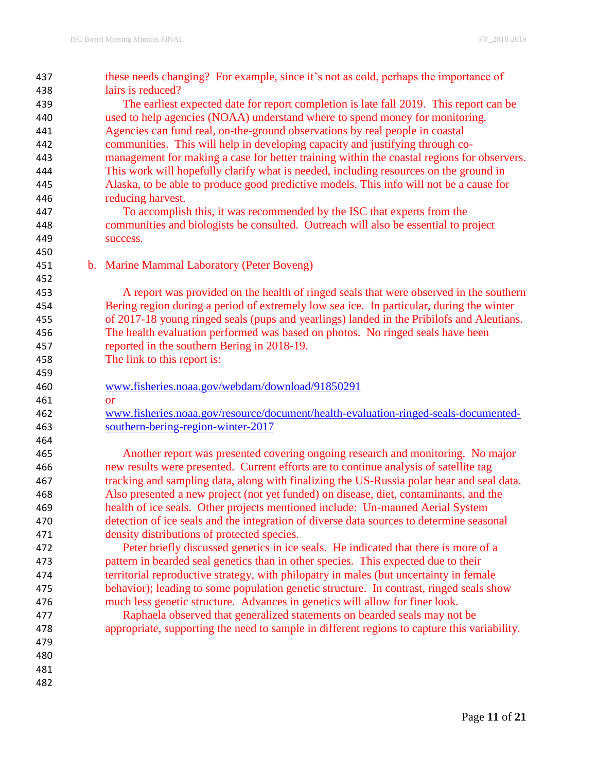| 437 | these needs changing? For example, since it's not as cold, perhaps the importance of         |
|-----|----------------------------------------------------------------------------------------------|
| 438 | lairs is reduced?                                                                            |
| 439 | The earliest expected date for report completion is late fall 2019. This report can be       |
| 440 | used to help agencies (NOAA) understand where to spend money for monitoring.                 |
| 441 | Agencies can fund real, on-the-ground observations by real people in coastal                 |
| 442 | communities. This will help in developing capacity and justifying through co-                |
| 443 | management for making a case for better training within the coastal regions for observers.   |
| 444 | This work will hopefully clarify what is needed, including resources on the ground in        |
| 445 | Alaska, to be able to produce good predictive models. This info will not be a cause for      |
| 446 | reducing harvest.                                                                            |
| 447 | To accomplish this, it was recommended by the ISC that experts from the                      |
| 448 | communities and biologists be consulted. Outreach will also be essential to project          |
| 449 | success.                                                                                     |
| 450 |                                                                                              |
| 451 | b. Marine Mammal Laboratory (Peter Boveng)                                                   |
| 452 |                                                                                              |
| 453 | A report was provided on the health of ringed seals that were observed in the southern       |
| 454 | Bering region during a period of extremely low sea ice. In particular, during the winter     |
| 455 | of 2017-18 young ringed seals (pups and yearlings) landed in the Pribilofs and Aleutians.    |
| 456 | The health evaluation performed was based on photos. No ringed seals have been               |
| 457 | reported in the southern Bering in 2018-19.                                                  |
| 458 | The link to this report is:                                                                  |
| 459 |                                                                                              |
| 460 | www.fisheries.noaa.gov/webdam/download/91850291                                              |
| 461 | <b>or</b>                                                                                    |
| 462 | www.fisheries.noaa.gov/resource/document/health-evaluation-ringed-seals-documented-          |
| 463 | southern-bering-region-winter-2017                                                           |
| 464 |                                                                                              |
| 465 | Another report was presented covering ongoing research and monitoring. No major              |
| 466 | new results were presented. Current efforts are to continue analysis of satellite tag        |
| 467 | tracking and sampling data, along with finalizing the US-Russia polar bear and seal data.    |
| 468 | Also presented a new project (not yet funded) on disease, diet, contaminants, and the        |
| 469 | health of ice seals. Other projects mentioned include: Un-manned Aerial System               |
| 470 | detection of ice seals and the integration of diverse data sources to determine seasonal     |
| 471 | density distributions of protected species.                                                  |
| 472 | Peter briefly discussed genetics in ice seals. He indicated that there is more of a          |
| 473 | pattern in bearded seal genetics than in other species. This expected due to their           |
| 474 | territorial reproductive strategy, with philopatry in males (but uncertainty in female       |
| 475 | behavior); leading to some population genetic structure. In contrast, ringed seals show      |
| 476 | much less genetic structure. Advances in genetics will allow for finer look.                 |
| 477 | Raphaela observed that generalized statements on bearded seals may not be                    |
| 478 | appropriate, supporting the need to sample in different regions to capture this variability. |
| 479 |                                                                                              |
| 480 |                                                                                              |
| 481 |                                                                                              |
| 482 |                                                                                              |
|     |                                                                                              |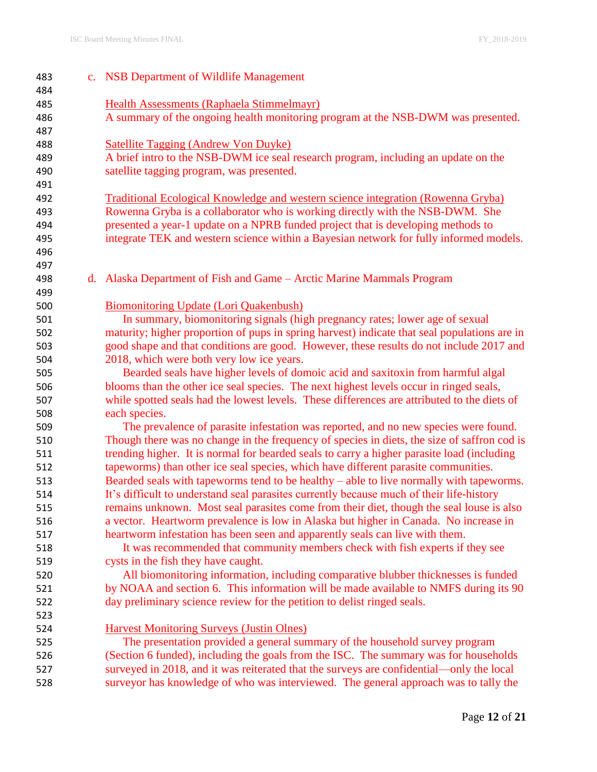| 483 | c. NSB Department of Wildlife Management                                                     |
|-----|----------------------------------------------------------------------------------------------|
| 484 |                                                                                              |
| 485 | <b>Health Assessments (Raphaela Stimmelmayr)</b>                                             |
| 486 | A summary of the ongoing health monitoring program at the NSB-DWM was presented.             |
| 487 |                                                                                              |
| 488 | <b>Satellite Tagging (Andrew Von Duyke)</b>                                                  |
| 489 | A brief intro to the NSB-DWM ice seal research program, including an update on the           |
| 490 | satellite tagging program, was presented.                                                    |
| 491 |                                                                                              |
| 492 | <b>Traditional Ecological Knowledge and western science integration (Rowenna Gryba)</b>      |
| 493 | Rowenna Gryba is a collaborator who is working directly with the NSB-DWM. She                |
| 494 | presented a year-1 update on a NPRB funded project that is developing methods to             |
| 495 | integrate TEK and western science within a Bayesian network for fully informed models.       |
| 496 |                                                                                              |
| 497 |                                                                                              |
| 498 | d. Alaska Department of Fish and Game – Arctic Marine Mammals Program                        |
| 499 |                                                                                              |
| 500 | <b>Biomonitoring Update (Lori Quakenbush)</b>                                                |
| 501 | In summary, biomonitoring signals (high pregnancy rates; lower age of sexual                 |
| 502 | maturity; higher proportion of pups in spring harvest) indicate that seal populations are in |
| 503 | good shape and that conditions are good. However, these results do not include 2017 and      |
| 504 | 2018, which were both very low ice years.                                                    |
| 505 | Bearded seals have higher levels of domoic acid and saxitoxin from harmful algal             |
| 506 | blooms than the other ice seal species. The next highest levels occur in ringed seals,       |
| 507 | while spotted seals had the lowest levels. These differences are attributed to the diets of  |
| 508 | each species.                                                                                |
| 509 | The prevalence of parasite infestation was reported, and no new species were found.          |
| 510 | Though there was no change in the frequency of species in diets, the size of saffron cod is  |
| 511 | trending higher. It is normal for bearded seals to carry a higher parasite load (including   |
| 512 | tapeworms) than other ice seal species, which have different parasite communities.           |
| 513 | Bearded seals with tapeworms tend to be healthy $-$ able to live normally with tapeworms.    |
| 514 | It's difficult to understand seal parasites currently because much of their life-history     |
| 515 | remains unknown. Most seal parasites come from their diet, though the seal louse is also     |
| 516 | a vector. Heartworm prevalence is low in Alaska but higher in Canada. No increase in         |
| 517 | heartworm infestation has been seen and apparently seals can live with them.                 |
| 518 | It was recommended that community members check with fish experts if they see                |
| 519 | cysts in the fish they have caught.                                                          |
| 520 | All biomonitoring information, including comparative blubber thicknesses is funded           |
| 521 | by NOAA and section 6. This information will be made available to NMFS during its 90         |
| 522 | day preliminary science review for the petition to delist ringed seals.                      |
| 523 |                                                                                              |
| 524 | <b>Harvest Monitoring Surveys (Justin Olnes)</b>                                             |
| 525 | The presentation provided a general summary of the household survey program                  |
| 526 | (Section 6 funded), including the goals from the ISC. The summary was for households         |
| 527 | surveyed in 2018, and it was reiterated that the surveys are confidential—only the local     |
| 528 | surveyor has knowledge of who was interviewed. The general approach was to tally the         |
|     |                                                                                              |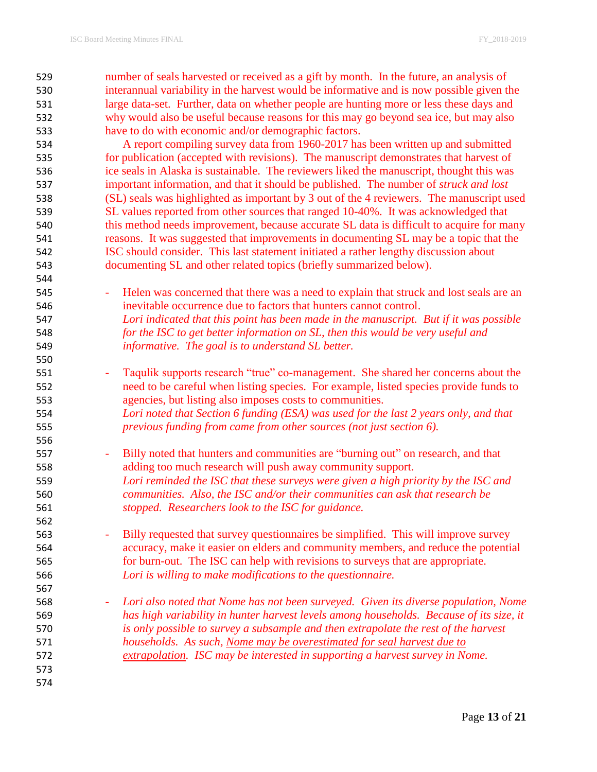number of seals harvested or received as a gift by month. In the future, an analysis of interannual variability in the harvest would be informative and is now possible given the large data-set. Further, data on whether people are hunting more or less these days and why would also be useful because reasons for this may go beyond sea ice, but may also have to do with economic and/or demographic factors.

 A report compiling survey data from 1960-2017 has been written up and submitted for publication (accepted with revisions). The manuscript demonstrates that harvest of ice seals in Alaska is sustainable. The reviewers liked the manuscript, thought this was important information, and that it should be published. The number of *struck and lost* (SL) seals was highlighted as important by 3 out of the 4 reviewers. The manuscript used SL values reported from other sources that ranged 10-40%. It was acknowledged that 540 this method needs improvement, because accurate SL data is difficult to acquire for many reasons. It was suggested that improvements in documenting SL may be a topic that the ISC should consider. This last statement initiated a rather lengthy discussion about documenting SL and other related topics (briefly summarized below).

545 - Helen was concerned that there was a need to explain that struck and lost seals are an inevitable occurrence due to factors that hunters cannot control. *Lori indicated that this point has been made in the manuscript. But if it was possible for the ISC to get better information on SL, then this would be very useful and informative. The goal is to understand SL better.*

- Taqulik supports research "true" co-management. She shared her concerns about the need to be careful when listing species. For example, listed species provide funds to agencies, but listing also imposes costs to communities. *Lori noted that Section 6 funding (ESA) was used for the last 2 years only, and that*
- *previous funding from came from other sources (not just section 6).*
- Billy noted that hunters and communities are "burning out" on research, and that adding too much research will push away community support. *Lori reminded the ISC that these surveys were given a high priority by the ISC and communities. Also, the ISC and/or their communities can ask that research be stopped. Researchers look to the ISC for guidance.*
- Billy requested that survey questionnaires be simplified. This will improve survey accuracy, make it easier on elders and community members, and reduce the potential for burn-out. The ISC can help with revisions to surveys that are appropriate. *Lori is willing to make modifications to the questionnaire.*
- *Lori also noted that Nome has not been surveyed. Given its diverse population, Nome has high variability in hunter harvest levels among households. Because of its size, it is only possible to survey a subsample and then extrapolate the rest of the harvest households. As such, Nome may be overestimated for seal harvest due to extrapolation. ISC may be interested in supporting a harvest survey in Nome.*
-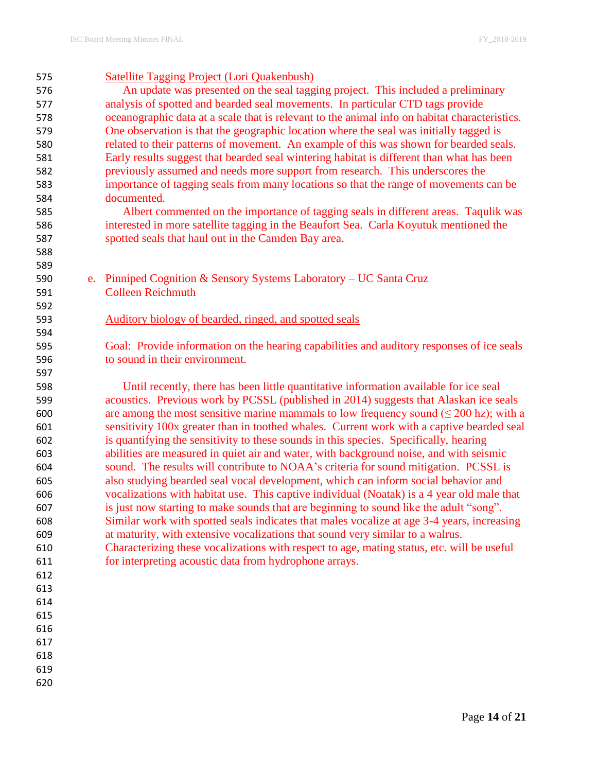| 575 | <b>Satellite Tagging Project (Lori Quakenbush)</b>                                            |
|-----|-----------------------------------------------------------------------------------------------|
| 576 | An update was presented on the seal tagging project. This included a preliminary              |
| 577 | analysis of spotted and bearded seal movements. In particular CTD tags provide                |
| 578 | oceanographic data at a scale that is relevant to the animal info on habitat characteristics. |
| 579 | One observation is that the geographic location where the seal was initially tagged is        |
| 580 | related to their patterns of movement. An example of this was shown for bearded seals.        |
| 581 | Early results suggest that bearded seal wintering habitat is different than what has been     |
| 582 | previously assumed and needs more support from research. This underscores the                 |
| 583 | importance of tagging seals from many locations so that the range of movements can be         |
| 584 | documented.                                                                                   |
| 585 | Albert commented on the importance of tagging seals in different areas. Taqulik was           |
| 586 | interested in more satellite tagging in the Beaufort Sea. Carla Koyutuk mentioned the         |
| 587 | spotted seals that haul out in the Camden Bay area.                                           |
| 588 |                                                                                               |
| 589 |                                                                                               |
| 590 | e. Pinniped Cognition & Sensory Systems Laboratory – UC Santa Cruz                            |
| 591 | <b>Colleen Reichmuth</b>                                                                      |
| 592 |                                                                                               |
| 593 | Auditory biology of bearded, ringed, and spotted seals                                        |
| 594 |                                                                                               |
| 595 | Goal: Provide information on the hearing capabilities and auditory responses of ice seals     |
| 596 | to sound in their environment.                                                                |
| 597 |                                                                                               |
| 598 | Until recently, there has been little quantitative information available for ice seal         |
| 599 | acoustics. Previous work by PCSSL (published in 2014) suggests that Alaskan ice seals         |
| 600 | are among the most sensitive marine mammals to low frequency sound ( $\leq 200$ hz); with a   |
| 601 | sensitivity 100x greater than in toothed whales. Current work with a captive bearded seal     |
| 602 | is quantifying the sensitivity to these sounds in this species. Specifically, hearing         |
| 603 | abilities are measured in quiet air and water, with background noise, and with seismic        |
| 604 | sound. The results will contribute to NOAA's criteria for sound mitigation. PCSSL is          |
| 605 | also studying bearded seal vocal development, which can inform social behavior and            |
| 606 | vocalizations with habitat use. This captive individual (Noatak) is a 4 year old male that    |
| 607 | is just now starting to make sounds that are beginning to sound like the adult "song".        |
| 608 | Similar work with spotted seals indicates that males vocalize at age 3-4 years, increasing    |
| 609 | at maturity, with extensive vocalizations that sound very similar to a walrus.                |
| 610 | Characterizing these vocalizations with respect to age, mating status, etc. will be useful    |
| 611 | for interpreting acoustic data from hydrophone arrays.                                        |
| 612 |                                                                                               |
| 613 |                                                                                               |
| 614 |                                                                                               |
| 615 |                                                                                               |
| 616 |                                                                                               |
| 617 |                                                                                               |
| 618 |                                                                                               |
| 619 |                                                                                               |
|     |                                                                                               |

Page **14** of **21**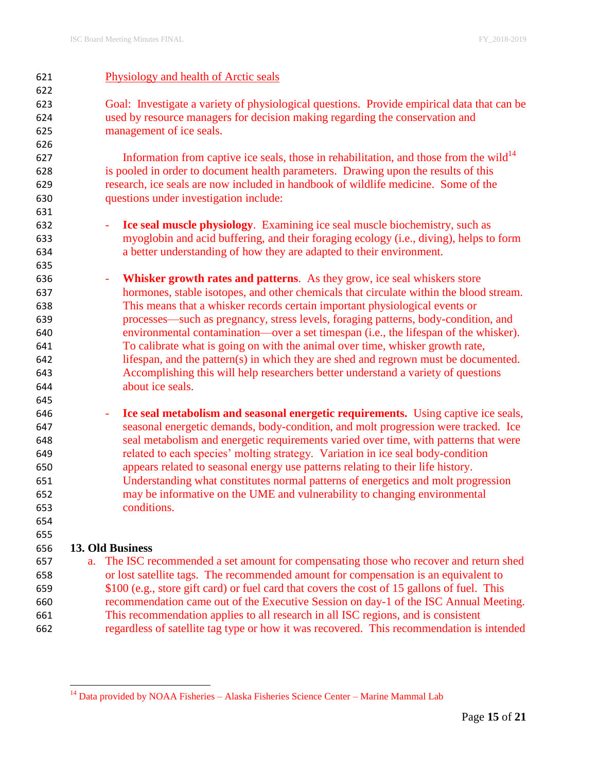| 621 | Physiology and health of Arctic seals                                                               |
|-----|-----------------------------------------------------------------------------------------------------|
| 622 |                                                                                                     |
| 623 | Goal: Investigate a variety of physiological questions. Provide empirical data that can be          |
| 624 | used by resource managers for decision making regarding the conservation and                        |
| 625 | management of ice seals.                                                                            |
| 626 |                                                                                                     |
| 627 | Information from captive ice seals, those in rehabilitation, and those from the wild $14$           |
| 628 | is pooled in order to document health parameters. Drawing upon the results of this                  |
| 629 | research, ice seals are now included in handbook of wildlife medicine. Some of the                  |
| 630 | questions under investigation include:                                                              |
| 631 |                                                                                                     |
| 632 | Ice seal muscle physiology. Examining ice seal muscle biochemistry, such as<br>÷,                   |
| 633 | myoglobin and acid buffering, and their foraging ecology (i.e., diving), helps to form              |
| 634 | a better understanding of how they are adapted to their environment.                                |
| 635 |                                                                                                     |
| 636 | Whisker growth rates and patterns. As they grow, ice seal whiskers store<br>$\blacksquare$          |
| 637 | hormones, stable isotopes, and other chemicals that circulate within the blood stream.              |
| 638 | This means that a whisker records certain important physiological events or                         |
| 639 | processes—such as pregnancy, stress levels, foraging patterns, body-condition, and                  |
| 640 | environmental contamination—over a set timespan (i.e., the lifespan of the whisker).                |
| 641 | To calibrate what is going on with the animal over time, whisker growth rate,                       |
| 642 | lifespan, and the pattern(s) in which they are shed and regrown must be documented.                 |
| 643 | Accomplishing this will help researchers better understand a variety of questions                   |
| 644 | about ice seals.                                                                                    |
| 645 |                                                                                                     |
| 646 | Ice seal metabolism and seasonal energetic requirements. Using captive ice seals,<br>$\blacksquare$ |
| 647 | seasonal energetic demands, body-condition, and molt progression were tracked. Ice                  |
| 648 | seal metabolism and energetic requirements varied over time, with patterns that were                |
| 649 | related to each species' molting strategy. Variation in ice seal body-condition                     |
| 650 | appears related to seasonal energy use patterns relating to their life history.                     |
| 651 | Understanding what constitutes normal patterns of energetics and molt progression                   |
| 652 | may be informative on the UME and vulnerability to changing environmental                           |
| 653 | conditions.                                                                                         |
| 654 |                                                                                                     |
| 655 |                                                                                                     |
| 656 | <b>13. Old Business</b>                                                                             |
| 657 | The ISC recommended a set amount for compensating those who recover and return shed<br>a.           |
| 658 | or lost satellite tags. The recommended amount for compensation is an equivalent to                 |
| 659 | \$100 (e.g., store gift card) or fuel card that covers the cost of 15 gallons of fuel. This         |
| 660 | recommendation came out of the Executive Session on day-1 of the ISC Annual Meeting.                |
| 661 | This recommendation applies to all research in all ISC regions, and is consistent                   |
| 662 | regardless of satellite tag type or how it was recovered. This recommendation is intended           |

<sup>&</sup>lt;sup>14</sup> Data provided by NOAA Fisheries – Alaska Fisheries Science Center – Marine Mammal Lab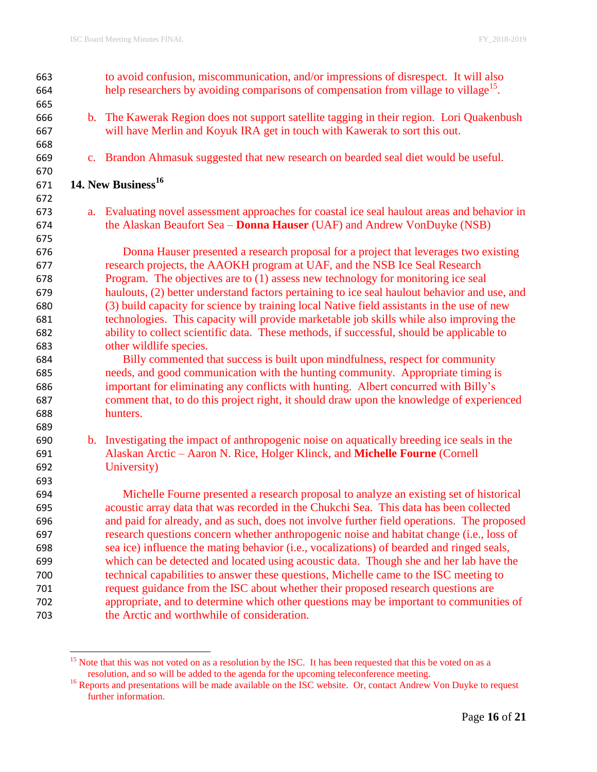| 663 | to avoid confusion, miscommunication, and/or impressions of disrespect. It will also             |
|-----|--------------------------------------------------------------------------------------------------|
| 664 | help researchers by avoiding comparisons of compensation from village to village <sup>15</sup> . |
| 665 |                                                                                                  |
| 666 | b. The Kawerak Region does not support satellite tagging in their region. Lori Quakenbush        |
| 667 | will have Merlin and Koyuk IRA get in touch with Kawerak to sort this out.                       |
| 668 |                                                                                                  |
| 669 | c. Brandon Ahmasuk suggested that new research on bearded seal diet would be useful.             |
| 670 |                                                                                                  |
| 671 | 14. New Business <sup>16</sup>                                                                   |
| 672 |                                                                                                  |
| 673 | a. Evaluating novel assessment approaches for coastal ice seal haulout areas and behavior in     |
| 674 | the Alaskan Beaufort Sea - Donna Hauser (UAF) and Andrew VonDuyke (NSB)                          |
| 675 |                                                                                                  |
| 676 | Donna Hauser presented a research proposal for a project that leverages two existing             |
| 677 | research projects, the AAOKH program at UAF, and the NSB Ice Seal Research                       |
| 678 | Program. The objectives are to (1) assess new technology for monitoring ice seal                 |
| 679 | haulouts, (2) better understand factors pertaining to ice seal haulout behavior and use, and     |
| 680 | (3) build capacity for science by training local Native field assistants in the use of new       |
| 681 | technologies. This capacity will provide marketable job skills while also improving the          |
| 682 | ability to collect scientific data. These methods, if successful, should be applicable to        |
| 683 | other wildlife species.                                                                          |
| 684 | Billy commented that success is built upon mindfulness, respect for community                    |
| 685 | needs, and good communication with the hunting community. Appropriate timing is                  |
| 686 | important for eliminating any conflicts with hunting. Albert concurred with Billy's              |
| 687 | comment that, to do this project right, it should draw upon the knowledge of experienced         |
| 688 | hunters.                                                                                         |
| 689 |                                                                                                  |
| 690 | b. Investigating the impact of anthropogenic noise on aquatically breeding ice seals in the      |
| 691 | Alaskan Arctic - Aaron N. Rice, Holger Klinck, and Michelle Fourne (Cornell                      |
| 692 | University)                                                                                      |
| 693 |                                                                                                  |
| 694 | Michelle Fourne presented a research proposal to analyze an existing set of historical           |
| 695 | acoustic array data that was recorded in the Chukchi Sea. This data has been collected           |
| 696 | and paid for already, and as such, does not involve further field operations. The proposed       |
| 697 | research questions concern whether anthropogenic noise and habitat change (i.e., loss of         |
| 698 | sea ice) influence the mating behavior (i.e., vocalizations) of bearded and ringed seals,        |
| 699 | which can be detected and located using acoustic data. Though she and her lab have the           |
| 700 | technical capabilities to answer these questions, Michelle came to the ISC meeting to            |
| 701 | request guidance from the ISC about whether their proposed research questions are                |
| 702 | appropriate, and to determine which other questions may be important to communities of           |
| 703 | the Arctic and worthwhile of consideration.                                                      |

<sup>&</sup>lt;sup>15</sup> Note that this was not voted on as a resolution by the ISC. It has been requested that this be voted on as a resolution, and so will be added to the agenda for the upcoming teleconference meeting.

<sup>&</sup>lt;sup>16</sup> Reports and presentations will be made available on the ISC website. Or, contact Andrew Von Duyke to request further information.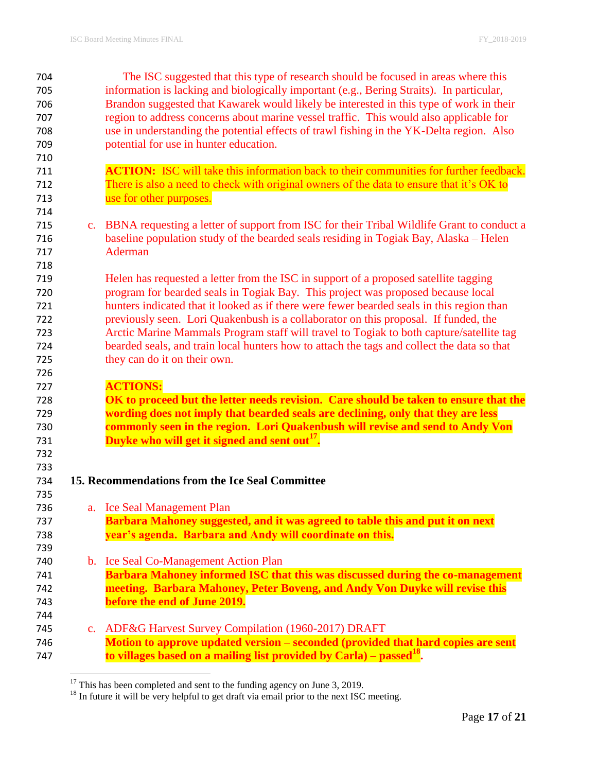| 704 |                | The ISC suggested that this type of research should be focused in areas where this            |
|-----|----------------|-----------------------------------------------------------------------------------------------|
| 705 |                | information is lacking and biologically important (e.g., Bering Straits). In particular,      |
| 706 |                | Brandon suggested that Kawarek would likely be interested in this type of work in their       |
| 707 |                | region to address concerns about marine vessel traffic. This would also applicable for        |
| 708 |                | use in understanding the potential effects of trawl fishing in the YK-Delta region. Also      |
| 709 |                | potential for use in hunter education.                                                        |
| 710 |                |                                                                                               |
| 711 |                | <b>ACTION:</b> ISC will take this information back to their communities for further feedback. |
| 712 |                | There is also a need to check with original owners of the data to ensure that it's OK to      |
| 713 |                | use for other purposes.                                                                       |
| 714 |                |                                                                                               |
| 715 |                | c. BBNA requesting a letter of support from ISC for their Tribal Wildlife Grant to conduct a  |
| 716 |                | baseline population study of the bearded seals residing in Togiak Bay, Alaska – Helen         |
| 717 |                | <b>Aderman</b>                                                                                |
| 718 |                |                                                                                               |
| 719 |                | Helen has requested a letter from the ISC in support of a proposed satellite tagging          |
| 720 |                | program for bearded seals in Togiak Bay. This project was proposed because local              |
| 721 |                | hunters indicated that it looked as if there were fewer bearded seals in this region than     |
| 722 |                | previously seen. Lori Quakenbush is a collaborator on this proposal. If funded, the           |
| 723 |                | Arctic Marine Mammals Program staff will travel to Togiak to both capture/satellite tag       |
| 724 |                | bearded seals, and train local hunters how to attach the tags and collect the data so that    |
| 725 |                | they can do it on their own.                                                                  |
| 726 |                |                                                                                               |
| 727 |                | <b>ACTIONS:</b>                                                                               |
| 728 |                | OK to proceed but the letter needs revision. Care should be taken to ensure that the          |
| 729 |                | wording does not imply that bearded seals are declining, only that they are less              |
| 730 |                | commonly seen in the region. Lori Quakenbush will revise and send to Andy Von                 |
| 731 |                | Duyke who will get it signed and sent out <sup>17</sup> .                                     |
| 732 |                |                                                                                               |
| 733 |                |                                                                                               |
| 734 |                | 15. Recommendations from the Ice Seal Committee                                               |
| 735 |                |                                                                                               |
| 736 |                | a. Ice Seal Management Plan                                                                   |
| 737 |                | Barbara Mahoney suggested, and it was agreed to table this and put it on next                 |
| 738 |                | year's agenda. Barbara and Andy will coordinate on this.                                      |
| 739 |                |                                                                                               |
| 740 |                | b. Ice Seal Co-Management Action Plan                                                         |
| 741 |                | Barbara Mahoney informed ISC that this was discussed during the co-management                 |
| 742 |                | meeting. Barbara Mahoney, Peter Boveng, and Andy Von Duyke will revise this                   |
| 743 |                | before the end of June 2019.                                                                  |
| 744 |                |                                                                                               |
| 745 | $\mathbf{c}$ . | ADF&G Harvest Survey Compilation (1960-2017) DRAFT                                            |
| 746 |                | Motion to approve updated version - seconded (provided that hard copies are sent              |
| 747 |                | to villages based on a mailing list provided by Carla) – passed <sup>18</sup> .               |
|     |                |                                                                                               |

This has been completed and sent to the funding agency on June 3, 2019.

In future it will be very helpful to get draft via email prior to the next ISC meeting.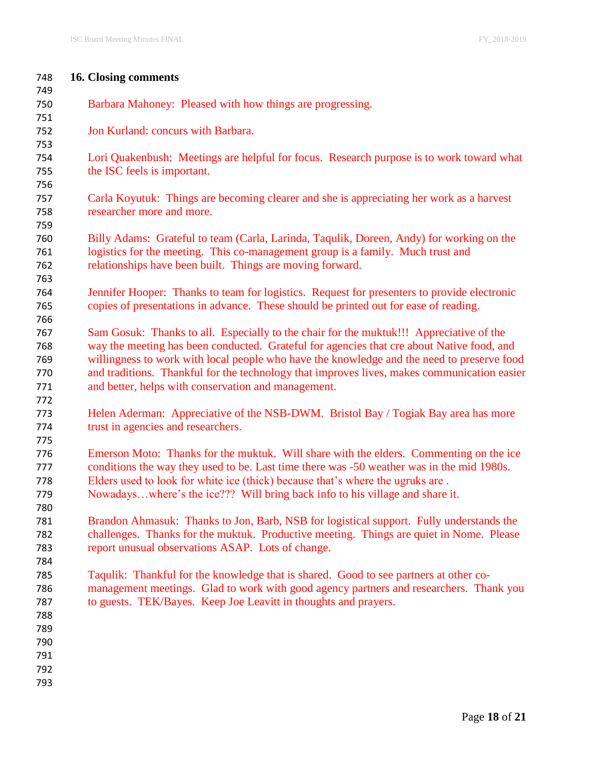| 16. Closing comments<br>748                                                                        |  |
|----------------------------------------------------------------------------------------------------|--|
| 749                                                                                                |  |
| 750<br>Barbara Mahoney: Pleased with how things are progressing.                                   |  |
| 751                                                                                                |  |
| Jon Kurland: concurs with Barbara.<br>752                                                          |  |
| 753                                                                                                |  |
| Lori Quakenbush: Meetings are helpful for focus. Research purpose is to work toward what<br>754    |  |
| the ISC feels is important.<br>755                                                                 |  |
| 756                                                                                                |  |
| Carla Koyutuk: Things are becoming clearer and she is appreciating her work as a harvest<br>757    |  |
| researcher more and more.<br>758                                                                   |  |
| 759                                                                                                |  |
| Billy Adams: Grateful to team (Carla, Larinda, Taqulik, Doreen, Andy) for working on the<br>760    |  |
| logistics for the meeting. This co-management group is a family. Much trust and<br>761             |  |
| relationships have been built. Things are moving forward.<br>762                                   |  |
| 763                                                                                                |  |
| Jennifer Hooper: Thanks to team for logistics. Request for presenters to provide electronic<br>764 |  |
| copies of presentations in advance. These should be printed out for ease of reading.<br>765        |  |
| 766                                                                                                |  |
| Sam Gosuk: Thanks to all. Especially to the chair for the muktuk!!! Appreciative of the<br>767     |  |
| way the meeting has been conducted. Grateful for agencies that cre about Native food, and<br>768   |  |
| willingness to work with local people who have the knowledge and the need to preserve food<br>769  |  |
| and traditions. Thankful for the technology that improves lives, makes communication easier<br>770 |  |
| and better, helps with conservation and management.<br>771                                         |  |
| 772                                                                                                |  |
| Helen Aderman: Appreciative of the NSB-DWM. Bristol Bay / Togiak Bay area has more<br>773          |  |
| trust in agencies and researchers.<br>774                                                          |  |
| 775                                                                                                |  |
| Emerson Moto: Thanks for the muktuk. Will share with the elders. Commenting on the ice<br>776      |  |
| conditions the way they used to be. Last time there was -50 weather was in the mid 1980s.<br>777   |  |
| Elders used to look for white ice (thick) because that's where the ugruks are.<br>778              |  |
| Nowadayswhere's the ice??? Will bring back info to his village and share it.<br>779                |  |
| 780                                                                                                |  |
| Brandon Ahmasuk: Thanks to Jon, Barb, NSB for logistical support. Fully understands the<br>781     |  |
| challenges. Thanks for the muktuk. Productive meeting. Things are quiet in Nome. Please<br>782     |  |
| report unusual observations ASAP. Lots of change.<br>783                                           |  |
| 784                                                                                                |  |
| Taqulik: Thankful for the knowledge that is shared. Good to see partners at other co-<br>785       |  |
| management meetings. Glad to work with good agency partners and researchers. Thank you<br>786      |  |
| to guests. TEK/Bayes. Keep Joe Leavitt in thoughts and prayers.<br>787                             |  |
|                                                                                                    |  |
|                                                                                                    |  |
| 788                                                                                                |  |
| 789                                                                                                |  |
| 790                                                                                                |  |
| 791<br>792                                                                                         |  |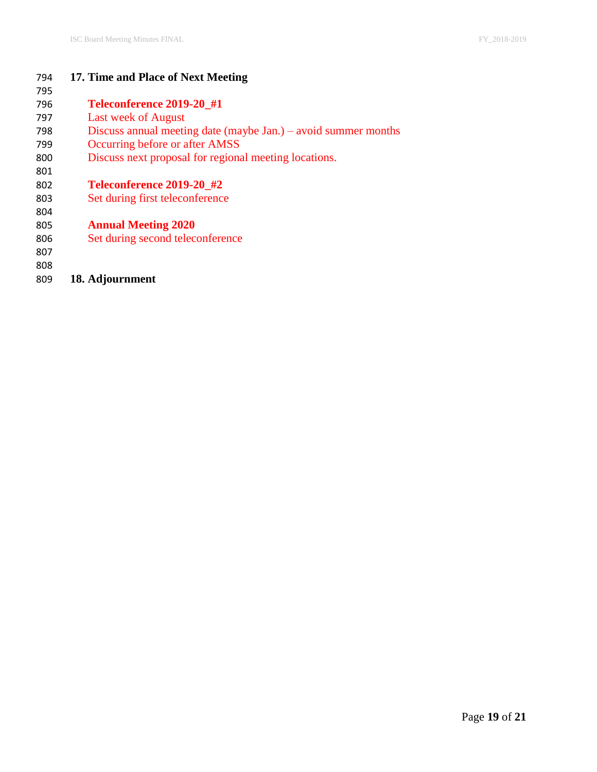| 794 | 17. Time and Place of Next Meeting                             |
|-----|----------------------------------------------------------------|
| 795 |                                                                |
| 796 | Teleconference 2019-20 #1                                      |
| 797 | Last week of August                                            |
| 798 | Discuss annual meeting date (maybe Jan.) – avoid summer months |
| 799 | Occurring before or after AMSS                                 |
| 800 | Discuss next proposal for regional meeting locations.          |
| 801 |                                                                |
| 802 | Teleconference 2019-20 #2                                      |
| 803 | Set during first teleconference                                |
| 804 |                                                                |
| 805 | <b>Annual Meeting 2020</b>                                     |
| 806 | Set during second teleconference                               |
| 807 |                                                                |
| 808 |                                                                |

**18. Adjournment**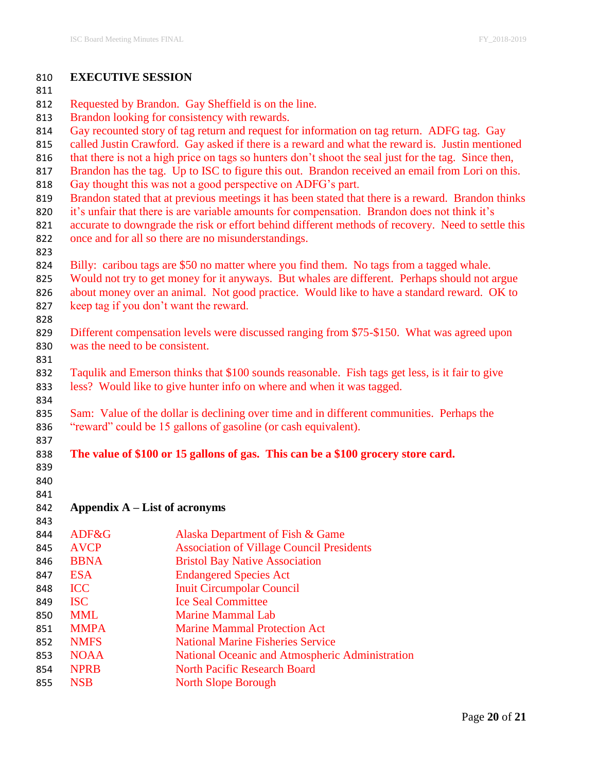| 810        | <b>EXECUTIVE SESSION</b>                                                                                                                                                                           |                                                                                      |  |  |  |  |  |
|------------|----------------------------------------------------------------------------------------------------------------------------------------------------------------------------------------------------|--------------------------------------------------------------------------------------|--|--|--|--|--|
| 811        |                                                                                                                                                                                                    |                                                                                      |  |  |  |  |  |
| 812        | Requested by Brandon. Gay Sheffield is on the line.                                                                                                                                                |                                                                                      |  |  |  |  |  |
| 813        | Brandon looking for consistency with rewards.                                                                                                                                                      |                                                                                      |  |  |  |  |  |
| 814        | Gay recounted story of tag return and request for information on tag return. ADFG tag. Gay                                                                                                         |                                                                                      |  |  |  |  |  |
| 815        | called Justin Crawford. Gay asked if there is a reward and what the reward is. Justin mentioned                                                                                                    |                                                                                      |  |  |  |  |  |
| 816        | that there is not a high price on tags so hunters don't shoot the seal just for the tag. Since then,                                                                                               |                                                                                      |  |  |  |  |  |
| 817        | Brandon has the tag. Up to ISC to figure this out. Brandon received an email from Lori on this.                                                                                                    |                                                                                      |  |  |  |  |  |
| 818        | Gay thought this was not a good perspective on ADFG's part.                                                                                                                                        |                                                                                      |  |  |  |  |  |
| 819        | Brandon stated that at previous meetings it has been stated that there is a reward. Brandon thinks                                                                                                 |                                                                                      |  |  |  |  |  |
| 820<br>821 | it's unfair that there is are variable amounts for compensation. Brandon does not think it's<br>accurate to downgrade the risk or effort behind different methods of recovery. Need to settle this |                                                                                      |  |  |  |  |  |
| 822        | once and for all so there are no misunderstandings.                                                                                                                                                |                                                                                      |  |  |  |  |  |
| 823        |                                                                                                                                                                                                    |                                                                                      |  |  |  |  |  |
| 824        | Billy: caribou tags are \$50 no matter where you find them. No tags from a tagged whale.                                                                                                           |                                                                                      |  |  |  |  |  |
| 825        | Would not try to get money for it anyways. But whales are different. Perhaps should not argue                                                                                                      |                                                                                      |  |  |  |  |  |
| 826        | about money over an animal. Not good practice. Would like to have a standard reward. OK to                                                                                                         |                                                                                      |  |  |  |  |  |
| 827        | keep tag if you don't want the reward.                                                                                                                                                             |                                                                                      |  |  |  |  |  |
| 828        |                                                                                                                                                                                                    |                                                                                      |  |  |  |  |  |
| 829        | Different compensation levels were discussed ranging from \$75-\$150. What was agreed upon                                                                                                         |                                                                                      |  |  |  |  |  |
| 830        | was the need to be consistent.                                                                                                                                                                     |                                                                                      |  |  |  |  |  |
| 831        |                                                                                                                                                                                                    |                                                                                      |  |  |  |  |  |
| 832        | Taqulik and Emerson thinks that \$100 sounds reasonable. Fish tags get less, is it fair to give                                                                                                    |                                                                                      |  |  |  |  |  |
| 833        | less? Would like to give hunter info on where and when it was tagged.                                                                                                                              |                                                                                      |  |  |  |  |  |
| 834        |                                                                                                                                                                                                    |                                                                                      |  |  |  |  |  |
| 835        | Sam: Value of the dollar is declining over time and in different communities. Perhaps the                                                                                                          |                                                                                      |  |  |  |  |  |
| 836        | "reward" could be 15 gallons of gasoline (or cash equivalent).                                                                                                                                     |                                                                                      |  |  |  |  |  |
| 837        |                                                                                                                                                                                                    |                                                                                      |  |  |  |  |  |
| 838        |                                                                                                                                                                                                    | The value of \$100 or 15 gallons of gas. This can be a \$100 grocery store card.     |  |  |  |  |  |
| 839        |                                                                                                                                                                                                    |                                                                                      |  |  |  |  |  |
| 840        |                                                                                                                                                                                                    |                                                                                      |  |  |  |  |  |
| 841        |                                                                                                                                                                                                    |                                                                                      |  |  |  |  |  |
| 842        |                                                                                                                                                                                                    | Appendix A – List of acronyms                                                        |  |  |  |  |  |
| 843        | ADF&G                                                                                                                                                                                              |                                                                                      |  |  |  |  |  |
| 844<br>845 | <b>AVCP</b>                                                                                                                                                                                        | Alaska Department of Fish & Game<br><b>Association of Village Council Presidents</b> |  |  |  |  |  |
| 846        | <b>BBNA</b>                                                                                                                                                                                        | <b>Bristol Bay Native Association</b>                                                |  |  |  |  |  |
| 847        | <b>ESA</b>                                                                                                                                                                                         | <b>Endangered Species Act</b>                                                        |  |  |  |  |  |
| 848        | <b>ICC</b>                                                                                                                                                                                         | <b>Inuit Circumpolar Council</b>                                                     |  |  |  |  |  |
| 849        | <b>ISC</b>                                                                                                                                                                                         | <b>Ice Seal Committee</b>                                                            |  |  |  |  |  |
| 850        | <b>MML</b>                                                                                                                                                                                         | <b>Marine Mammal Lab</b>                                                             |  |  |  |  |  |
| 851        | <b>MMPA</b>                                                                                                                                                                                        | <b>Marine Mammal Protection Act</b>                                                  |  |  |  |  |  |
| 852        | <b>NMFS</b>                                                                                                                                                                                        | <b>National Marine Fisheries Service</b>                                             |  |  |  |  |  |
| 853        | <b>NOAA</b>                                                                                                                                                                                        | National Oceanic and Atmospheric Administration                                      |  |  |  |  |  |
| 854        | <b>NPRB</b>                                                                                                                                                                                        | <b>North Pacific Research Board</b>                                                  |  |  |  |  |  |
| 855        | <b>NSB</b>                                                                                                                                                                                         | <b>North Slope Borough</b>                                                           |  |  |  |  |  |
|            |                                                                                                                                                                                                    |                                                                                      |  |  |  |  |  |